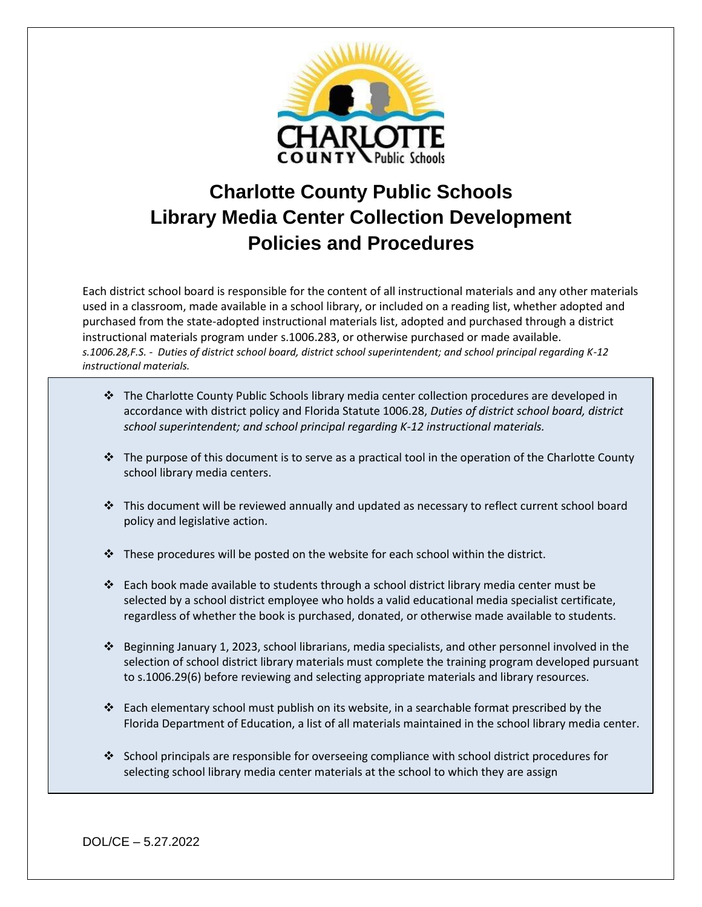

# **Charlotte County Public Schools Library Media Center Collection Development Policies and Procedures**

Each district school board is responsible for the content of all instructional materials and any other materials used in a classroom, made available in a school library, or included on a reading list, whether adopted and purchased from the state-adopted instructional materials list, adopted and purchased through a district instructional materials program under s.1006.283, or otherwise purchased or made available. *s.1006.28,F.S. - Duties of district school board, district school superintendent; and school principal regarding K-12 instructional materials.*

- ❖ The Charlotte County Public Schools library media center collection procedures are developed in accordance with district policy and Florida Statute 1006.28, *Duties of district school board, district school superintendent; and school principal regarding K-12 instructional materials.*
- $\cdot \cdot$  The purpose of this document is to serve as a practical tool in the operation of the Charlotte County school library media centers.
- ❖ This document will be reviewed annually and updated as necessary to reflect current school board policy and legislative action.
- ❖ These procedures will be posted on the website for each school within the district.
- ❖ Each book made available to students through a school district library media center must be selected by a school district employee who holds a valid educational media specialist certificate, regardless of whether the book is purchased, donated, or otherwise made available to students.
- ❖ Beginning January 1, 2023, school librarians, media specialists, and other personnel involved in the selection of school district library materials must complete the training program developed pursuant to s.1006.29(6) before reviewing and selecting appropriate materials and library resources.
- ❖ Each elementary school must publish on its website, in a searchable format prescribed by the Florida Department of Education, a list of all materials maintained in the school library media center.
- ❖ School principals are responsible for overseeing compliance with school district procedures for selecting school library media center materials at the school to which they are assign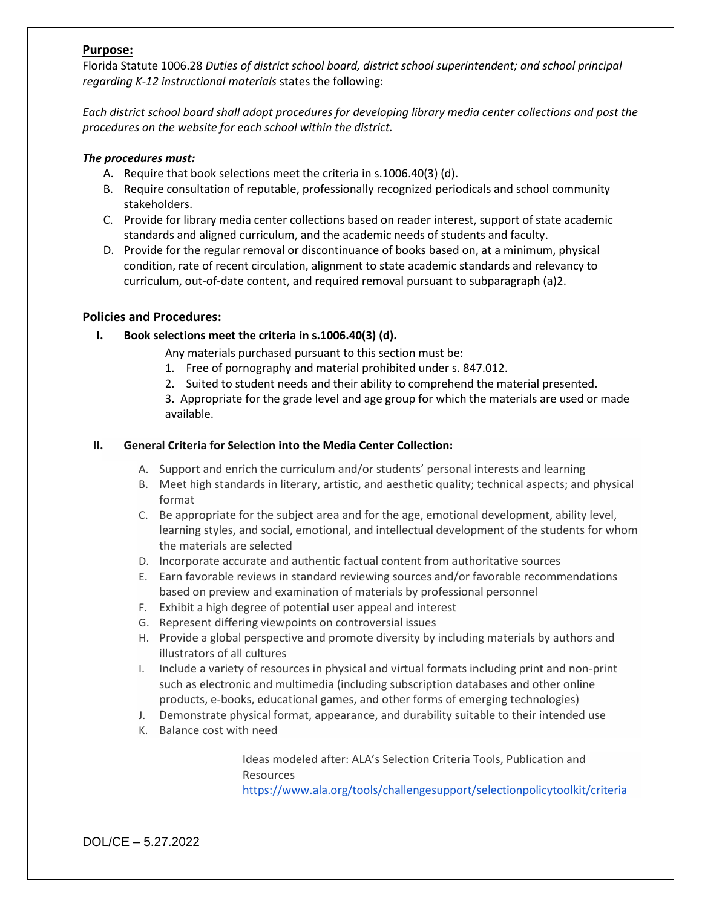### **Purpose:**

Florida Statute 1006.28 *Duties of district school board, district school superintendent; and school principal regarding K-12 instructional materials* states the following:

*Each district school board shall adopt procedures for developing library media center collections and post the procedures on the website for each school within the district.* 

#### *The procedures must:*

- A. Require that book selections meet the criteria in s.1006.40(3) (d).
- B. Require consultation of reputable, professionally recognized periodicals and school community stakeholders.
- C. Provide for library media center collections based on reader interest, support of state academic standards and aligned curriculum, and the academic needs of students and faculty.
- D. Provide for the regular removal or discontinuance of books based on, at a minimum, physical condition, rate of recent circulation, alignment to state academic standards and relevancy to curriculum, out-of-date content, and required removal pursuant to subparagraph (a)2.

### **Policies and Procedures:**

### **I. Book selections meet the criteria in s.1006.40(3) (d).**

Any materials purchased pursuant to this section must be:

- 1. Free of pornography and material prohibited under s. [847.012.](http://www.leg.state.fl.us/Statutes/index.cfm?App_mode=Display_Statute&Search_String=&URL=0800-0899/0847/Sections/0847.012.html)
- 2. Suited to student needs and their ability to comprehend the material presented.

3. Appropriate for the grade level and age group for which the materials are used or made available.

#### **II. General Criteria for Selection into the Media Center Collection:**

- A. Support and enrich the curriculum and/or students' personal interests and learning
- B. Meet high standards in literary, artistic, and aesthetic quality; technical aspects; and physical format
- C. Be appropriate for the subject area and for the age, emotional development, ability level, learning styles, and social, emotional, and intellectual development of the students for whom the materials are selected
- D. Incorporate accurate and authentic factual content from authoritative sources
- E. Earn favorable reviews in standard reviewing sources and/or favorable recommendations based on preview and examination of materials by professional personnel
- F. Exhibit a high degree of potential user appeal and interest
- G. Represent differing viewpoints on controversial issues
- H. Provide a global perspective and promote diversity by including materials by authors and illustrators of all cultures
- I. Include a variety of resources in physical and virtual formats including print and non-print such as electronic and multimedia (including subscription databases and other online products, e-books, educational games, and other forms of emerging technologies)
- J. Demonstrate physical format, appearance, and durability suitable to their intended use
- K. Balance cost with need

Ideas modeled after: ALA's Selection Criteria Tools, Publication and Resources

<https://www.ala.org/tools/challengesupport/selectionpolicytoolkit/criteria>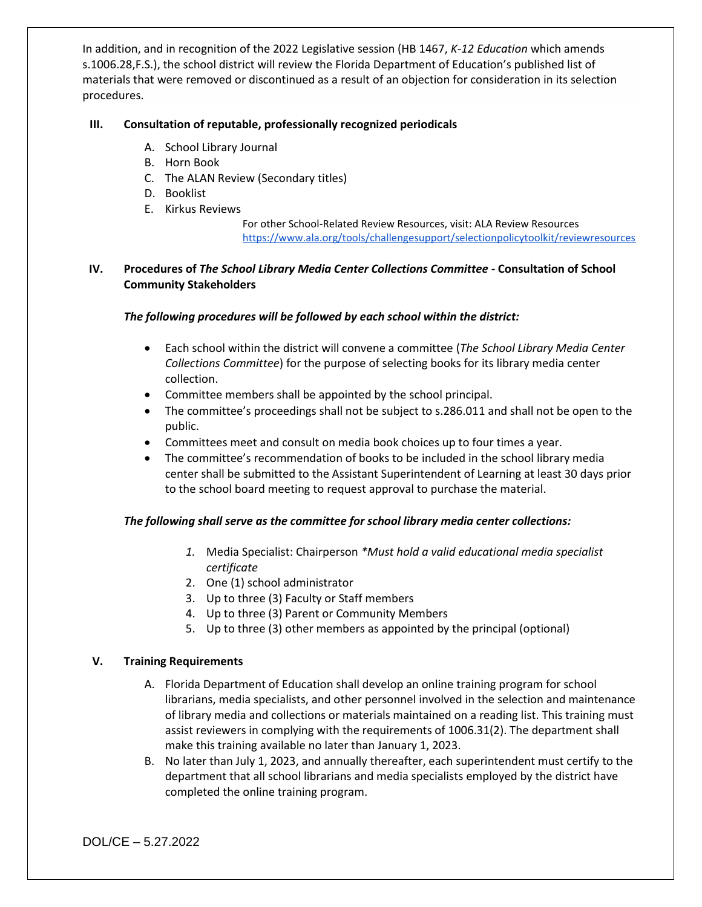In addition, and in recognition of the 2022 Legislative session (HB 1467, *K-12 Education* which amends s.1006.28,F.S.), the school district will review the Florida Department of Education's published list of materials that were removed or discontinued as a result of an objection for consideration in its selection procedures.

### **III. Consultation of reputable, professionally recognized periodicals**

- A. School Library Journal
- B. Horn Book
- C. The ALAN Review (Secondary titles)
- D. Booklist
- E. Kirkus Reviews

For other School-Related Review Resources, visit: ALA Review Resources <https://www.ala.org/tools/challengesupport/selectionpolicytoolkit/reviewresources>

# **IV. Procedures of** *The School Library Media Center Collections Committee -* **Consultation of School Community Stakeholders**

## *The following procedures will be followed by each school within the district:*

- Each school within the district will convene a committee (*The School Library Media Center Collections Committee*) for the purpose of selecting books for its library media center collection.
- Committee members shall be appointed by the school principal.
- The committee's proceedings shall not be subject to s.286.011 and shall not be open to the public.
- Committees meet and consult on media book choices up to four times a year.
- The committee's recommendation of books to be included in the school library media center shall be submitted to the Assistant Superintendent of Learning at least 30 days prior to the school board meeting to request approval to purchase the material.

# *The following shall serve as the committee for school library media center collections:*

- *1.* Media Specialist: Chairperson *\*Must hold a valid educational media specialist certificate*
- 2. One (1) school administrator
- 3. Up to three (3) Faculty or Staff members
- 4. Up to three (3) Parent or Community Members
- 5. Up to three (3) other members as appointed by the principal (optional)

### **V. Training Requirements**

- A. Florida Department of Education shall develop an online training program for school librarians, media specialists, and other personnel involved in the selection and maintenance of library media and collections or materials maintained on a reading list. This training must assist reviewers in complying with the requirements of 1006.31(2). The department shall make this training available no later than January 1, 2023.
- B. No later than July 1, 2023, and annually thereafter, each superintendent must certify to the department that all school librarians and media specialists employed by the district have completed the online training program.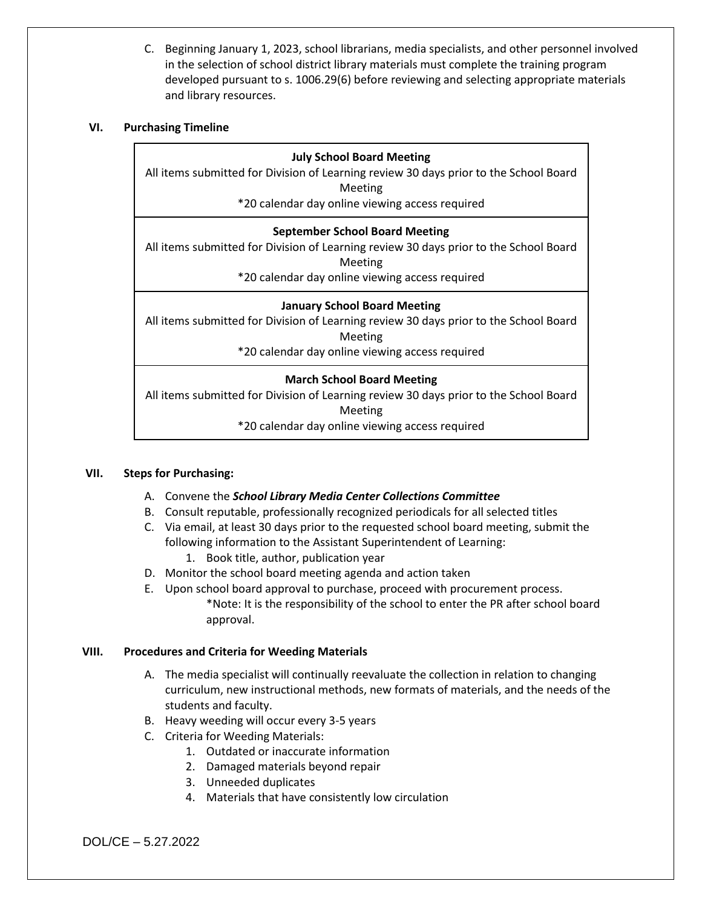C. Beginning January 1, 2023, school librarians, media specialists, and other personnel involved in the selection of school district library materials must complete the training program developed pursuant to s. 1006.29(6) before reviewing and selecting appropriate materials and library resources.

### **VI. Purchasing Timeline**

## **July School Board Meeting**

All items submitted for Division of Learning review 30 days prior to the School Board Meeting

\*20 calendar day online viewing access required

## **September School Board Meeting**

All items submitted for Division of Learning review 30 days prior to the School Board Meeting

\*20 calendar day online viewing access required

## **January School Board Meeting**

All items submitted for Division of Learning review 30 days prior to the School Board Meeting

\*20 calendar day online viewing access required

# **March School Board Meeting**

All items submitted for Division of Learning review 30 days prior to the School Board Meeting

\*20 calendar day online viewing access required

### **VII. Steps for Purchasing:**

- A. Convene the *School Library Media Center Collections Committee*
- B. Consult reputable, professionally recognized periodicals for all selected titles
- C. Via email, at least 30 days prior to the requested school board meeting, submit the following information to the Assistant Superintendent of Learning:
	- 1. Book title, author, publication year
- D. Monitor the school board meeting agenda and action taken
- E. Upon school board approval to purchase, proceed with procurement process. \*Note: It is the responsibility of the school to enter the PR after school board approval.

### **VIII. Procedures and Criteria for Weeding Materials**

- A. The media specialist will continually reevaluate the collection in relation to changing curriculum, new instructional methods, new formats of materials, and the needs of the students and faculty.
- B. Heavy weeding will occur every 3-5 years
- C. Criteria for Weeding Materials:
	- 1. Outdated or inaccurate information
		- 2. Damaged materials beyond repair
		- 3. Unneeded duplicates
		- 4. Materials that have consistently low circulation